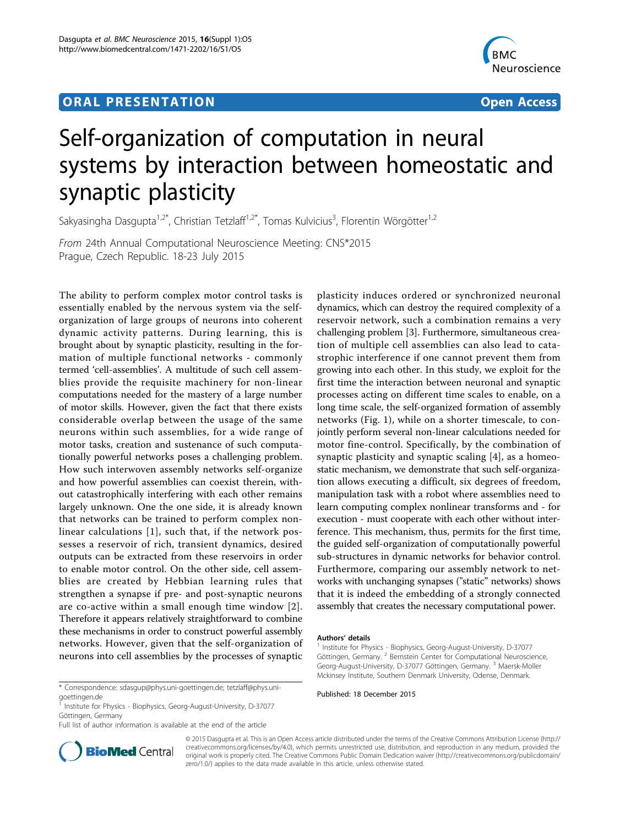## ORA L PR E S EN TA TION OPEN ACCESS OF THE SERVICE OF THE SERVICE OF THE SERVICE OF THE SERVICE OF THE SERVICE



# Self-organization of computation in neural systems by interaction between homeostatic and synaptic plasticity

Sakyasingha Dasgupta<sup>1,2\*</sup>, Christian Tetzlaff<sup>1,2\*</sup>, Tomas Kulvicius<sup>3</sup>, Florentin Wörgötter<sup>1,2</sup>

From 24th Annual Computational Neuroscience Meeting: CNS\*2015 Prague, Czech Republic. 18-23 July 2015

The ability to perform complex motor control tasks is essentially enabled by the nervous system via the selforganization of large groups of neurons into coherent dynamic activity patterns. During learning, this is brought about by synaptic plasticity, resulting in the formation of multiple functional networks - commonly termed 'cell-assemblies'. A multitude of such cell assemblies provide the requisite machinery for non-linear computations needed for the mastery of a large number of motor skills. However, given the fact that there exists considerable overlap between the usage of the same neurons within such assemblies, for a wide range of motor tasks, creation and sustenance of such computationally powerful networks poses a challenging problem. How such interwoven assembly networks self-organize and how powerful assemblies can coexist therein, without catastrophically interfering with each other remains largely unknown. One the one side, it is already known that networks can be trained to perform complex nonlinear calculations [[1](#page-1-0)], such that, if the network possesses a reservoir of rich, transient dynamics, desired outputs can be extracted from these reservoirs in order to enable motor control. On the other side, cell assemblies are created by Hebbian learning rules that strengthen a synapse if pre- and post-synaptic neurons are co-active within a small enough time window [[2](#page-1-0)]. Therefore it appears relatively straightforward to combine these mechanisms in order to construct powerful assembly networks. However, given that the self-organization of neurons into cell assemblies by the processes of synaptic

plasticity induces ordered or synchronized neuronal dynamics, which can destroy the required complexity of a reservoir network, such a combination remains a very challenging problem [\[3\]](#page-1-0). Furthermore, simultaneous creation of multiple cell assemblies can also lead to catastrophic interference if one cannot prevent them from growing into each other. In this study, we exploit for the first time the interaction between neuronal and synaptic processes acting on different time scales to enable, on a long time scale, the self-organized formation of assembly networks (Fig. [1](#page-1-0)), while on a shorter timescale, to conjointly perform several non-linear calculations needed for motor fine-control. Specifically, by the combination of synaptic plasticity and synaptic scaling [[4\]](#page-1-0), as a homeostatic mechanism, we demonstrate that such self-organization allows executing a difficult, six degrees of freedom, manipulation task with a robot where assemblies need to learn computing complex nonlinear transforms and - for execution - must cooperate with each other without interference. This mechanism, thus, permits for the first time, the guided self-organization of computationally powerful sub-structures in dynamic networks for behavior control. Furthermore, comparing our assembly network to networks with unchanging synapses ("static" networks) shows that it is indeed the embedding of a strongly connected assembly that creates the necessary computational power.

Full list of author information is available at the end of the article



© 2015 Dasgupta et al. This is an Open Access article distributed under the terms of the Creative Commons Attribution License [\(http://](http://creativecommons.org/licenses/by/4.0) [creativecommons.org/licenses/by/4.0](http://creativecommons.org/licenses/by/4.0)), which permits unrestricted use, distribution, and reproduction in any medium, provided the original work is properly cited. The Creative Commons Public Domain Dedication waiver ([http://creativecommons.org/publicdomain/](http://creativecommons.org/publicdomain/zero/1.0/) [zero/1.0/](http://creativecommons.org/publicdomain/zero/1.0/)) applies to the data made available in this article, unless otherwise stated.

Authors' details<br><sup>1</sup> Institute for Physics - Biophysics, Georg-August-University, D-37077 Göttingen, Germany. <sup>2</sup> Bernstein Center for Computational Neuroscience, Georg-August-University, D-37077 Göttingen, Germany. <sup>3</sup> Maersk-Moller Mckinsey Institute, Southern Denmark University, Odense, Denmark.

Published: 18 December 2015 \* Correspondence: [sdasgup@phys.uni-goettingen.de](mailto:sdasgup@phys.uni-goettingen.de); [tetzlaff@phys.uni](mailto:tetzlaff@phys.uni-goettingen.de)[goettingen.de](mailto:tetzlaff@phys.uni-goettingen.de)

<sup>1</sup> Institute for Physics - Biophysics, Georg-August-University, D-37077 Göttingen, Germany